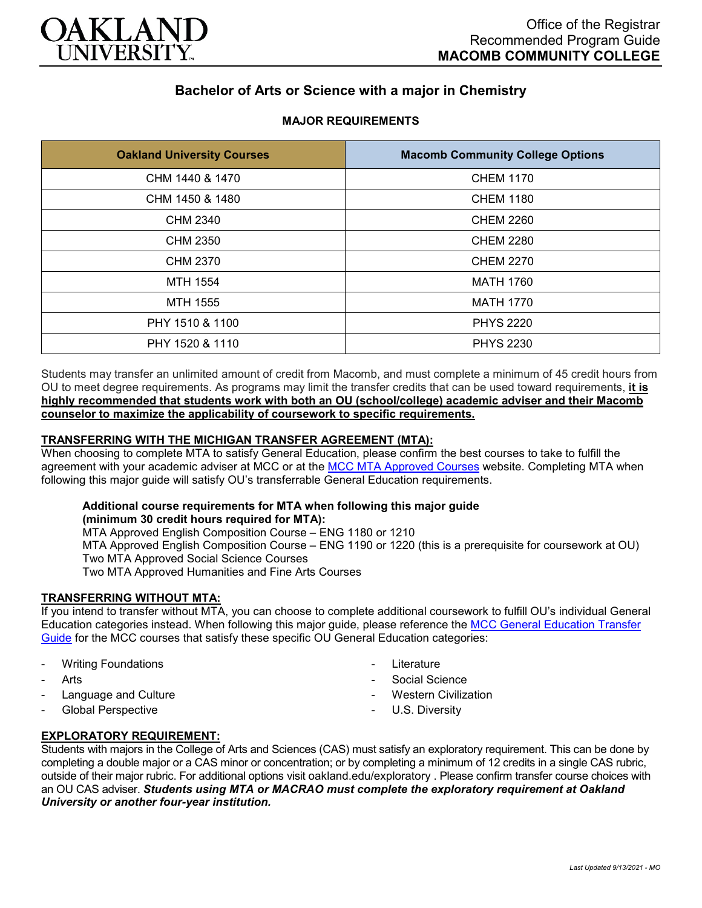

# **Bachelor of Arts or Science with a major in Chemistry**

## **MAJOR REQUIREMENTS**

| <b>Oakland University Courses</b> | <b>Macomb Community College Options</b> |
|-----------------------------------|-----------------------------------------|
| CHM 1440 & 1470                   | <b>CHEM 1170</b>                        |
| CHM 1450 & 1480                   | <b>CHEM 1180</b>                        |
| <b>CHM 2340</b>                   | <b>CHEM 2260</b>                        |
| CHM 2350                          | <b>CHEM 2280</b>                        |
| CHM 2370                          | <b>CHEM 2270</b>                        |
| MTH 1554                          | <b>MATH 1760</b>                        |
| <b>MTH 1555</b>                   | <b>MATH 1770</b>                        |
| PHY 1510 & 1100                   | <b>PHYS 2220</b>                        |
| PHY 1520 & 1110                   | <b>PHYS 2230</b>                        |

Students may transfer an unlimited amount of credit from Macomb, and must complete a minimum of 45 credit hours from OU to meet degree requirements. As programs may limit the transfer credits that can be used toward requirements, **it is highly recommended that students work with both an OU (school/college) academic adviser and their Macomb counselor to maximize the applicability of coursework to specific requirements.**

## **TRANSFERRING WITH THE MICHIGAN TRANSFER AGREEMENT (MTA):**

When choosing to complete MTA to satisfy General Education, please confirm the best courses to take to fulfill the agreement with your academic adviser at MCC or at the [MCC MTA Approved Courses](http://www.macomb.edu/resources/transfer-articulation/attachments/mta-macrao-course-list.pdf) website. Completing MTA when following this major guide will satisfy OU's transferrable General Education requirements.

#### **Additional course requirements for MTA when following this major guide (minimum 30 credit hours required for MTA):**

MTA Approved English Composition Course – ENG 1180 or 1210 MTA Approved English Composition Course – ENG 1190 or 1220 (this is a prerequisite for coursework at OU) Two MTA Approved Social Science Courses Two MTA Approved Humanities and Fine Arts Courses

## **TRANSFERRING WITHOUT MTA:**

If you intend to transfer without MTA, you can choose to complete additional coursework to fulfill OU's individual General Education categories instead. When following this major guide, please reference the [MCC General Education Transfer](https://wwwp.oakland.edu/Assets/Oakland/program-guides/macomb-community-college/university-general-education-requirements/MCC%20Gen%20Ed.pdf)  [Guide](https://wwwp.oakland.edu/Assets/Oakland/program-guides/macomb-community-college/university-general-education-requirements/MCC%20Gen%20Ed.pdf) for the MCC courses that satisfy these specific OU General Education categories:

- **Writing Foundations**
- Arts
- Language and Culture
- Global Perspective
- **Literature**
- Social Science
- **Western Civilization**
- U.S. Diversity

## **EXPLORATORY REQUIREMENT:**

Students with majors in the College of Arts and Sciences (CAS) must satisfy an exploratory requirement. This can be done by completing a double major or a CAS minor or concentration; or by completing a minimum of 12 credits in a single CAS rubric, outside of their major rubric. For additional options visit [oakland.edu/exploratory](http://www.oakland.edu/exploratory) . Please confirm transfer course choices with an OU CAS adviser. *Students using MTA or MACRAO must complete the exploratory requirement at Oakland University or another four-year institution.*